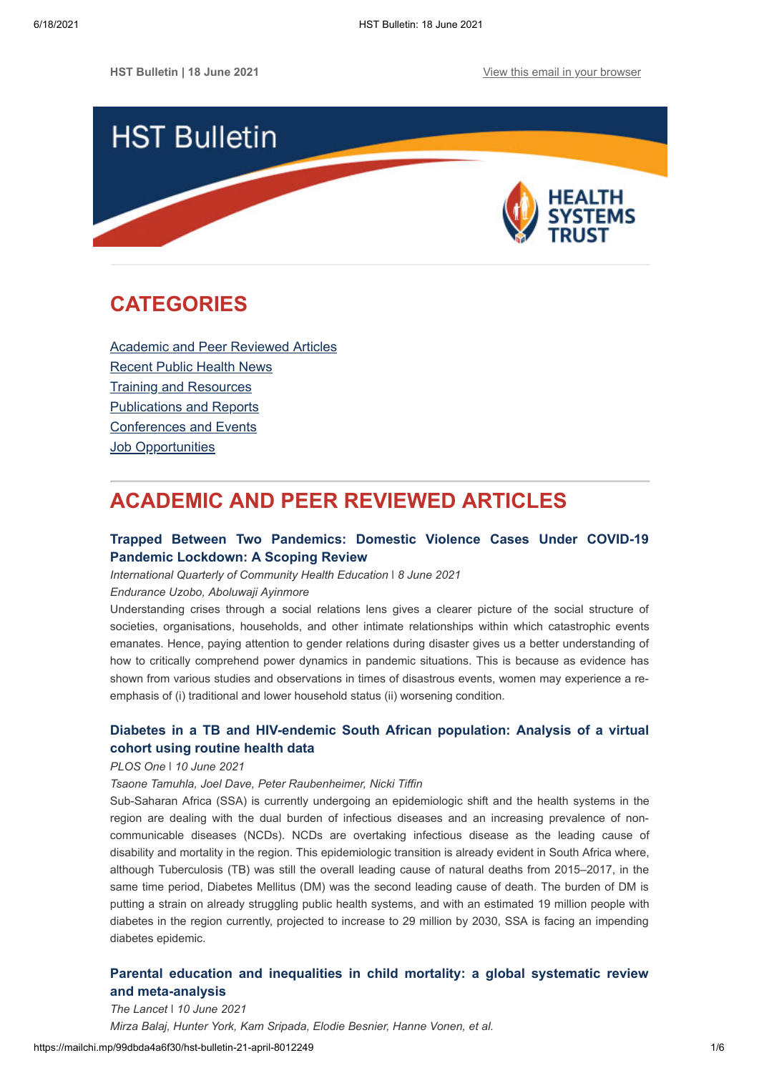

# <span id="page-0-1"></span>**CATEGORIES**

[Academic and Peer Reviewed Articles](#page-0-0) [Recent Public Health News](#page-1-0) Training and Resources [Publications and Reports](#page-3-0) [Conferences and Events](#page-4-0) **[Job Opportunities](#page-4-1)** 

# <span id="page-0-0"></span>**ACADEMIC AND PEER REVIEWED ARTICLES**

# **[Trapped Between Two Pandemics: Domestic Violence Cases Under COVID-19](https://journals.sagepub.com/doi/full/10.1177/0272684X211022121) Pandemic Lockdown: A Scoping Review**

*International Quarterly of Community Health Education \ 8 June 2021* 

*Endurance Uzobo, Aboluwaji Ayinmore*

Understanding crises through a social relations lens gives a clearer picture of the social structure of societies, organisations, households, and other intimate relationships within which catastrophic events emanates. Hence, paying attention to gender relations during disaster gives us a better understanding of how to critically comprehend power dynamics in pandemic situations. This is because as evidence has shown from various studies and observations in times of disastrous events, women may experience a reemphasis of (i) traditional and lower household status (ii) worsening condition.

# **[Diabetes in a TB and HIV-endemic South African population: Analysis of a](https://journals.plos.org/plosone/article?id=10.1371/journal.pone.0251303) virtual cohort using routine health data**

## *PLOS One* ǀ *10 June 2021*

### *Tsaone Tamuhla, Joel Dave, Peter Raubenheimer, Nicki Tiffin*

Sub-Saharan Africa (SSA) is currently undergoing an epidemiologic shift and the health systems in the region are dealing with the dual burden of infectious diseases and an increasing prevalence of noncommunicable diseases (NCDs). NCDs are overtaking infectious disease as the leading cause of disability and mortality in the region. This epidemiologic transition is already evident in South Africa where, although Tuberculosis (TB) was still the overall leading cause of natural deaths from 2015–2017, in the same time period, Diabetes Mellitus (DM) was the second leading cause of death. The burden of DM is putting a strain on already struggling public health systems, and with an estimated 19 million people with diabetes in the region currently, projected to increase to 29 million by 2030, SSA is facing an impending diabetes epidemic.

# **[Parental education and inequalities in child mortality: a global systematic review](https://www.thelancet.com/journals/lancet/article/PIIS0140-6736(21)00534-1/fulltext) and meta-analysis**

*The Lancet* ǀ *10 June 2021 Mirza Balaj, Hunter York, Kam Sripada, Elodie Besnier, Hanne Vonen, et al.*

https://mailchi.mp/99dbda4a6f30/hst-bulletin-21-april-8012249 1/6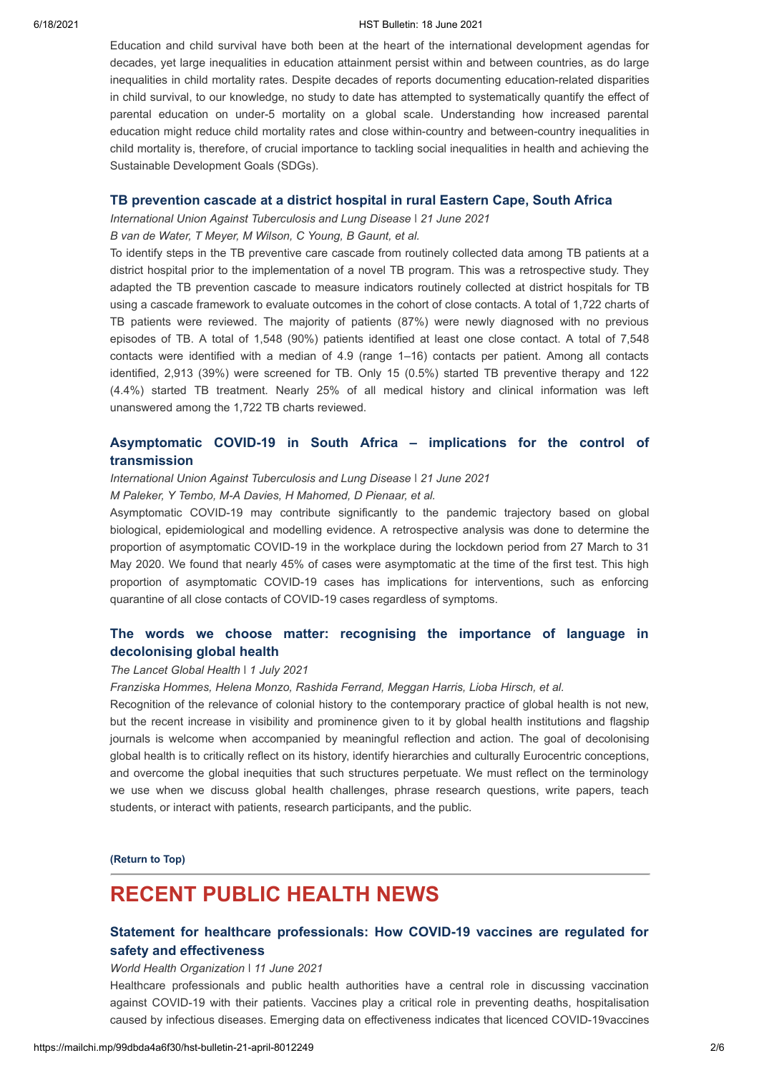#### 6/18/2021 HST Bulletin: 18 June 2021

Education and child survival have both been at the heart of the international development agendas for decades, yet large inequalities in education attainment persist within and between countries, as do large inequalities in child mortality rates. Despite decades of reports documenting education-related disparities in child survival, to our knowledge, no study to date has attempted to systematically quantify the effect of parental education on under-5 mortality on a global scale. Understanding how increased parental education might reduce child mortality rates and close within-country and between-country inequalities in child mortality is, therefore, of crucial importance to tackling social inequalities in health and achieving the Sustainable Development Goals (SDGs).

### **[TB prevention cascade at a district hospital in rural Eastern Cape, South Africa](https://www.ingentaconnect.com/contentone/iuatld/pha/2021/00000011/00000002/art00012#)**

*International Union Against Tuberculosis and Lung Disease* ǀ *21 June 2021*

*B van de Water, T Meyer, M Wilson, C Young, B Gaunt, et al.*

To identify steps in the TB preventive care cascade from routinely collected data among TB patients at a district hospital prior to the implementation of a novel TB program. This was a retrospective study. They adapted the TB prevention cascade to measure indicators routinely collected at district hospitals for TB using a cascade framework to evaluate outcomes in the cohort of close contacts. A total of 1,722 charts of TB patients were reviewed. The majority of patients (87%) were newly diagnosed with no previous episodes of TB. A total of 1,548 (90%) patients identified at least one close contact. A total of 7,548 contacts were identified with a median of 4.9 (range 1–16) contacts per patient. Among all contacts identified, 2,913 (39%) were screened for TB. Only 15 (0.5%) started TB preventive therapy and 122 (4.4%) started TB treatment. Nearly 25% of all medical history and clinical information was left unanswered among the 1,722 TB charts reviewed.

## **[Asymptomatic COVID-19 in South Africa – implications for the control of](https://www.ingentaconnect.com/contentone/iuatld/pha/2021/00000011/00000002/art00005#) transmission**

*International Union Against Tuberculosis and Lung Disease* ǀ *21 June 2021*

*M Paleker, Y Tembo, M-A Davies, H Mahomed, D Pienaar, et al.*

Asymptomatic COVID-19 may contribute significantly to the pandemic trajectory based on global biological, epidemiological and modelling evidence. A retrospective analysis was done to determine the proportion of asymptomatic COVID-19 in the workplace during the lockdown period from 27 March to 31 May 2020. We found that nearly 45% of cases were asymptomatic at the time of the first test. This high proportion of asymptomatic COVID-19 cases has implications for interventions, such as enforcing quarantine of all close contacts of COVID-19 cases regardless of symptoms.

# **[The words we choose matter: recognising the importance of language in](https://www.thelancet.com/journals/langlo/article/PIIS2214-109X(21)00197-2/fulltext) decolonising global health**

#### *The Lancet Global Health ǀ 1 July 2021*

*Franziska Hommes, Helena Monzo, Rashida Ferrand, Meggan Harris, Lioba Hirsch, et al.*

Recognition of the relevance of colonial history to the contemporary practice of global health is not new, but the recent increase in visibility and prominence given to it by global health institutions and flagship journals is welcome when accompanied by meaningful reflection and action. The goal of decolonising global health is to critically reflect on its history, identify hierarchies and culturally Eurocentric conceptions, and overcome the global inequities that such structures perpetuate. We must reflect on the terminology we use when we discuss global health challenges, phrase research questions, write papers, teach students, or interact with patients, research participants, and the public.

**[\(Return to Top\)](#page-0-1)**

# <span id="page-1-0"></span>**RECENT PUBLIC HEALTH NEWS**

# **[Statement for healthcare professionals: How COVID-19 vaccines are regulated for](https://www.who.int/news/item/11-06-2021-statement-for-healthcare-professionals-how-covid-19-vaccines-are-regulated-for-safety-and-effectiveness) safety and effectiveness**

#### *World Health Organization ǀ 11 June 2021*

Healthcare professionals and public health authorities have a central role in discussing vaccination against COVID-19 with their patients. Vaccines play a critical role in preventing deaths, hospitalisation caused by infectious diseases. Emerging data on effectiveness indicates that licenced COVID-19vaccines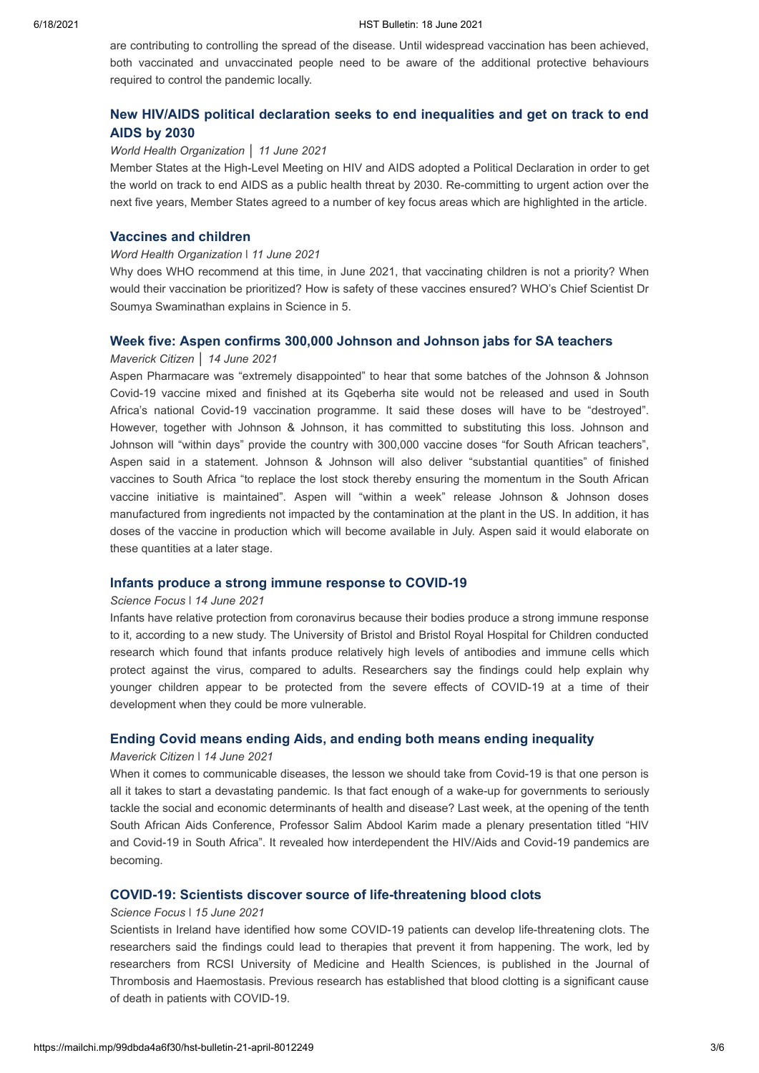are contributing to controlling the spread of the disease. Until widespread vaccination has been achieved, both vaccinated and unvaccinated people need to be aware of the additional protective behaviours required to control the pandemic locally.

# **[New HIV/AIDS political declaration seeks to end inequalities and get on track to end](https://www.who.int/news/item/11-06-2021-new-hiv-aids-political-declaration-seeks-to-end-inequalities-and-get-on-track-to-end-aids-by-2030#.YMYsyWkfJWQ.twitter) AIDS by 2030**

#### *World Health Organization* │ *11 June 2021*

Member States at the High-Level Meeting on HIV and AIDS adopted a Political Declaration in order to get the world on track to end AIDS as a public health threat by 2030. Re-committing to urgent action over the next five years, Member States agreed to a number of key focus areas which are highlighted in the article.

## **[Vaccines and children](https://www.who.int/emergencies/diseases/novel-coronavirus-2019/media-resources/science-in-5/episode-42---vaccines-and-children)**

#### *Word Health Organization ǀ 11 June 2021*

Why does WHO recommend at this time, in June 2021, that vaccinating children is not a priority? When would their vaccination be prioritized? How is safety of these vaccines ensured? WHO's Chief Scientist Dr Soumya Swaminathan explains in Science in 5.

### **[Week five: Aspen confirms 300,000 Johnson and Johnson jabs for SA teachers](https://www.dailymaverick.co.za/article/2021-06-14-week-five-aspen-confirms-300000-jnj-jabs-for-sa-teachers/)**

### *Maverick Citizen* │ *14 June 2021*

Aspen Pharmacare was "extremely disappointed" to hear that some batches of the Johnson & Johnson Covid-19 vaccine mixed and finished at its Gqeberha site would not be released and used in South Africa's national Covid-19 vaccination programme. It said these doses will have to be "destroyed". However, together with Johnson & Johnson, it has committed to substituting this loss. Johnson and Johnson will "within days" provide the country with 300,000 vaccine doses "for South African teachers", Aspen said in a statement. Johnson & Johnson will also deliver "substantial quantities" of finished vaccines to South Africa "to replace the lost stock thereby ensuring the momentum in the South African vaccine initiative is maintained". Aspen will "within a week" release Johnson & Johnson doses manufactured from ingredients not impacted by the contamination at the plant in the US. In addition, it has doses of the vaccine in production which will become available in July. Aspen said it would elaborate on these quantities at a later stage.

## **[Infants produce a strong immune response to COVID-19](https://www.sciencefocus.com/news/infants-produce-a-strong-immune-response-to-covid-19/?utm_source=Adestra&utm_medium=Email&utm_content=FOC2&utm_campaign=Science%20Focus%20Newsletter_1006371_Focus_Automated%20Newsletters_18970208)**

#### *Science Focus ǀ 14 June 2021*

Infants have relative protection from coronavirus because their bodies produce a strong immune response to it, according to a new study. The University of Bristol and Bristol Royal Hospital for Children conducted research which found that infants produce relatively high levels of antibodies and immune cells which protect against the virus, compared to adults. Researchers say the findings could help explain why younger children appear to be protected from the severe effects of COVID-19 at a time of their development when they could be more vulnerable.

## **[Ending Covid means ending Aids, and ending both means ending inequality](https://www.dailymaverick.co.za/article/2021-06-14-ending-covid-means-ending-aids-and-ending-both-means-ending-inequality/)**

#### *Maverick Citizen ǀ 14 June 2021*

When it comes to communicable diseases, the lesson we should take from Covid-19 is that one person is all it takes to start a devastating pandemic. Is that fact enough of a wake-up for governments to seriously tackle the social and economic determinants of health and disease? Last week, at the opening of the tenth South African Aids Conference, Professor Salim Abdool Karim made a plenary presentation titled "HIV and Covid-19 in South Africa". It revealed how interdependent the HIV/Aids and Covid-19 pandemics are becoming.

### **[COVID-19: Scientists discover source of life-threatening blood clots](https://www.sciencefocus.com/news/covid-19-scientists-discover-source-of-life-threatening-blood-clots/?utm_source=Adestra&utm_medium=Email&utm_content=FOC2&utm_campaign=Science%20Focus%20Newsletter_1008231_Focus_Automated%20Newsletters_18970208)**

## *Science Focus ǀ 15 June 2021*

Scientists in Ireland have identified how some COVID-19 patients can develop life-threatening clots. The researchers said the findings could lead to therapies that prevent it from happening. The work, led by researchers from RCSI University of Medicine and Health Sciences, is published in the Journal of Thrombosis and Haemostasis. Previous research has established that blood clotting is a significant cause of death in patients with COVID-19.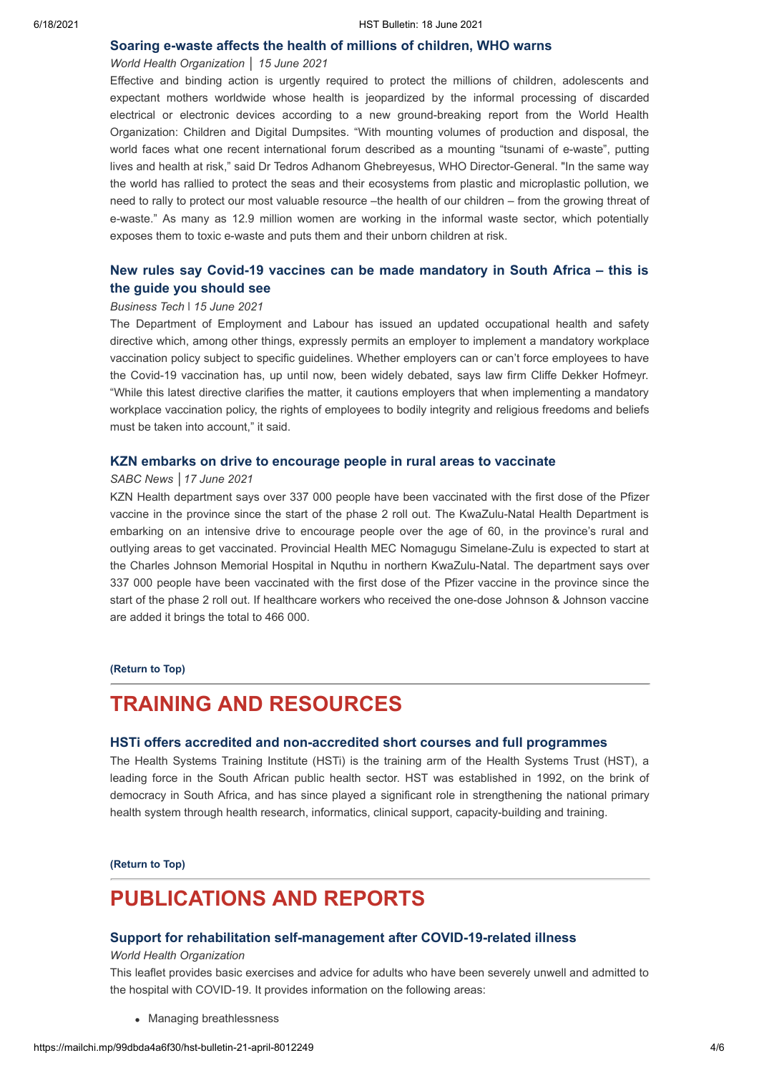#### **[Soaring e-waste affects the health of millions of children, WHO warns](https://www.who.int/news/item/15-06-2021-soaring-e-waste-affects-the-health-of-millions-of-children-who-warns)**

## *World Health Organization* │ *15 June 2021*

Effective and binding action is urgently required to protect the millions of children, adolescents and expectant mothers worldwide whose health is jeopardized by the informal processing of discarded electrical or electronic devices according to a new ground-breaking report from the World Health Organization: Children and Digital Dumpsites. "With mounting volumes of production and disposal, the world faces what one recent international forum described as a mounting "tsunami of e-waste", putting lives and health at risk," said Dr Tedros Adhanom Ghebreyesus, WHO Director-General. "In the same way the world has rallied to protect the seas and their ecosystems from plastic and microplastic pollution, we need to rally to protect our most valuable resource –the health of our children – from the growing threat of e-waste." As many as 12.9 million women are working in the informal waste sector, which potentially exposes them to toxic e-waste and puts them and their unborn children at risk.

# **[New rules say Covid-19 vaccines can be made mandatory in South Africa –](https://businesstech.co.za/news/business/498527/new-rules-say-covid-19-vaccines-can-be-made-mandatory-in-south-africa-this-is-the-guide-you-should-see/) this is the guide you should see**

#### *Business Tech* ǀ *15 June 2021*

The Department of Employment and Labour has issued an updated occupational health and safety directive which, among other things, expressly permits an employer to implement a mandatory workplace vaccination policy subject to specific guidelines. Whether employers can or can't force employees to have the Covid-19 vaccination has, up until now, been widely debated, says law firm Cliffe Dekker Hofmeyr. "While this latest directive clarifies the matter, it cautions employers that when implementing a mandatory workplace vaccination policy, the rights of employees to bodily integrity and religious freedoms and beliefs must be taken into account," it said.

## **[KZN embarks on drive to encourage people in rural areas to vaccinate](https://www.sabcnews.com/sabcnews/kzn-embarks-on-drive-to-encourage-people-in-rural-areas-to-vaccinate/)**

#### *SABC News │17 June 2021*

KZN Health department says over 337 000 people have been vaccinated with the first dose of the Pfizer vaccine in the province since the start of the phase 2 roll out. The KwaZulu-Natal Health Department is embarking on an intensive drive to encourage people over the age of 60, in the province's rural and outlying areas to get vaccinated. Provincial Health MEC Nomagugu Simelane-Zulu is expected to start at the Charles Johnson Memorial Hospital in Nquthu in northern KwaZulu-Natal. The department says over 337 000 people have been vaccinated with the first dose of the Pfizer vaccine in the province since the start of the phase 2 roll out. If healthcare workers who received the one-dose Johnson & Johnson vaccine are added it brings the total to 466 000.

#### **[\(Return to Top\)](#page-0-1)**

# <span id="page-3-0"></span>**TRAINING AND RESOURCES**

#### **[HSTi offers accredited and non-accredited short courses and full programmes](https://www.hstinstitute.co.za/Training)**

The Health Systems Training Institute (HSTi) is the training arm of the Health Systems Trust (HST), a leading force in the South African public health sector. HST was established in 1992, on the brink of democracy in South Africa, and has since played a significant role in strengthening the national primary health system through health research, informatics, clinical support, capacity-building and training.

#### **[\(Return to Top\)](#page-0-1)**

# **PUBLICATIONS AND REPORTS**

## **[Support for rehabilitation self-management after COVID-19-related illness](https://www.euro.who.int/en/health-topics/Life-stages/disability-and-rehabilitation/publications/support-for-rehabilitation-self-management-after-covid-19-related-illness-2020-produced-by-whoeurope)**

## *World Health Organization*

This leaflet provides basic exercises and advice for adults who have been severely unwell and admitted to the hospital with COVID-19. It provides information on the following areas:

• Managing breathlessness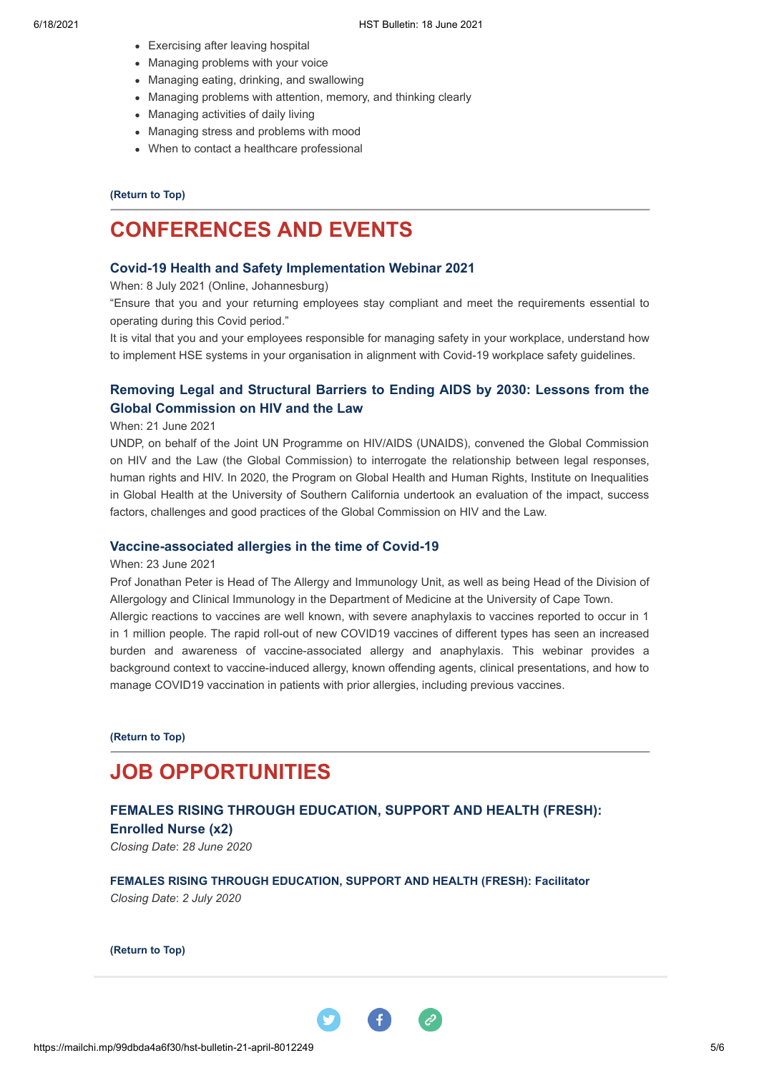- Exercising after leaving hospital
- Managing problems with your voice
- Managing eating, drinking, and swallowing
- Managing problems with attention, memory, and thinking clearly
- Managing activities of daily living
- Managing stress and problems with mood
- When to contact a healthcare professional

### **[\(Return to Top\)](#page-0-1)**

# <span id="page-4-0"></span>**CONFERENCES AND EVENTS**

## **[Covid-19 Health and Safety Implementation Webinar 2021](https://www.bizcommunity.com/event/covid-19-health-and-safety-implementation-webinar-2021-74115)**

When: 8 July 2021 (Online, Johannesburg)

"Ensure that you and your returning employees stay compliant and meet the requirements essential to operating during this Covid period."

It is vital that you and your employees responsible for managing safety in your workplace, understand how to implement HSE systems in your organisation in alignment with Covid-19 workplace safety guidelines.

# **[Removing Legal and Structural Barriers to Ending AIDS by 2030: Lessons from the](https://undp.zoom.us/webinar/register/WN_mf8XWpQzTDCkL7svhOB37A?_x_zm_rtaid=oOrCsDQxRXqbunLXDYIWJA.1623261623509.2a6723e245b1e03f6f5c264c7bc84663&_x_zm_rhtaid=601) Global Commission on HIV and the Law**

### When: 21 June 2021

UNDP, on behalf of the Joint UN Programme on HIV/AIDS (UNAIDS), convened the Global Commission on HIV and the Law (the Global Commission) to interrogate the relationship between legal responses, human rights and HIV. In 2020, the Program on Global Health and Human Rights, Institute on Inequalities in Global Health at the University of Southern California undertook an evaluation of the impact, success factors, challenges and good practices of the Global Commission on HIV and the Law.

### **[Vaccine-associated allergies in the time of Covid-19](https://www.b2bcentral.co.za/webinar/vaccine-associated-allergies-in-the-time-of-covid-19/?utm_source=Print&utm_medium=Short%20link&utm_campaign=ThermoFisher%20Scientific%20Webinar)**

#### When: 23 June 2021

Prof Jonathan Peter is Head of The Allergy and Immunology Unit, as well as being Head of the Division of Allergology and Clinical Immunology in the Department of Medicine at the University of Cape Town.

Allergic reactions to vaccines are well known, with severe anaphylaxis to vaccines reported to occur in 1 in 1 million people. The rapid roll-out of new COVID19 vaccines of different types has seen an increased burden and awareness of vaccine-associated allergy and anaphylaxis. This webinar provides a background context to vaccine-induced allergy, known offending agents, clinical presentations, and how to manage COVID19 vaccination in patients with prior allergies, including previous vaccines.

**[\(Return to Top\)](#page-0-1)**

# <span id="page-4-1"></span>**JOB OPPORTUNITIES**

# **[FEMALES RISING THROUGH EDUCATION, SUPPORT AND HEALTH \(FRESH\):](https://www.hst.org.za/Pages/Females-Rising-through-Education,-Support-and-Health-(FRESH)-Enrolled-Nurse.aspx) Enrolled Nurse (x2)**

*Closing Date*: *28 June 2020*

**[FEMALES RISING THROUGH EDUCATION, SUPPORT AND HEALTH \(FRESH\): Facilitator](https://www.hst.org.za/Pages/Females-Rising-through-Education-Support-and-Health-(FRESH).aspx)** *Closing Date*: *2 July 2020*

**[\(Return to Top\)](#page-0-1)**